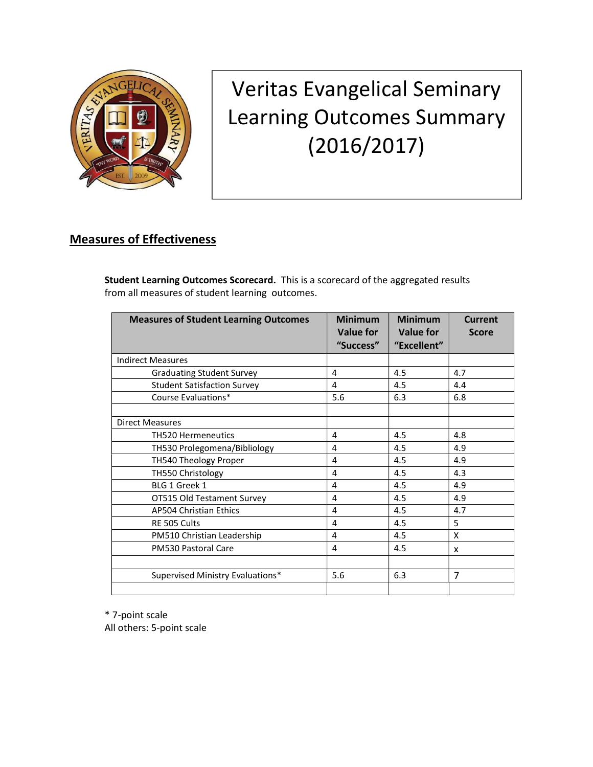

## Veritas Evangelical Seminary Learning Outcomes Summary (2016/2017)

## Measures of Effectiveness

Student Learning Outcomes Scorecard. This is a scorecard of the aggregated results from all measures of student learning outcomes.

| <b>Measures of Student Learning Outcomes</b> | <b>Minimum</b><br>Value for<br>"Success" | <b>Minimum</b><br><b>Value for</b><br>"Excellent" | <b>Current</b><br><b>Score</b> |
|----------------------------------------------|------------------------------------------|---------------------------------------------------|--------------------------------|
| <b>Indirect Measures</b>                     |                                          |                                                   |                                |
| <b>Graduating Student Survey</b>             | 4                                        | 4.5                                               | 4.7                            |
| <b>Student Satisfaction Survey</b>           | 4                                        | 4.5                                               | 4.4                            |
| Course Evaluations*                          | 5.6                                      | 6.3                                               | 6.8                            |
|                                              |                                          |                                                   |                                |
| <b>Direct Measures</b>                       |                                          |                                                   |                                |
| <b>TH520 Hermeneutics</b>                    | 4                                        | 4.5                                               | 4.8                            |
| TH530 Prolegomena/Bibliology                 | 4                                        | 4.5                                               | 4.9                            |
| TH540 Theology Proper                        | 4                                        | 4.5                                               | 4.9                            |
| TH550 Christology                            | 4                                        | 4.5                                               | 4.3                            |
| BLG 1 Greek 1                                | 4                                        | 4.5                                               | 4.9                            |
| OT515 Old Testament Survey                   | 4                                        | 4.5                                               | 4.9                            |
| <b>AP504 Christian Ethics</b>                | 4                                        | 4.5                                               | 4.7                            |
| RE 505 Cults                                 | 4                                        | 4.5                                               | 5                              |
| PM510 Christian Leadership                   | 4                                        | 4.5                                               | X                              |
| PM530 Pastoral Care                          | 4                                        | 4.5                                               | x                              |
|                                              |                                          |                                                   |                                |
| Supervised Ministry Evaluations*             | 5.6                                      | 6.3                                               | $\overline{7}$                 |
|                                              |                                          |                                                   |                                |

\* 7-point scale

All others: 5-point scale